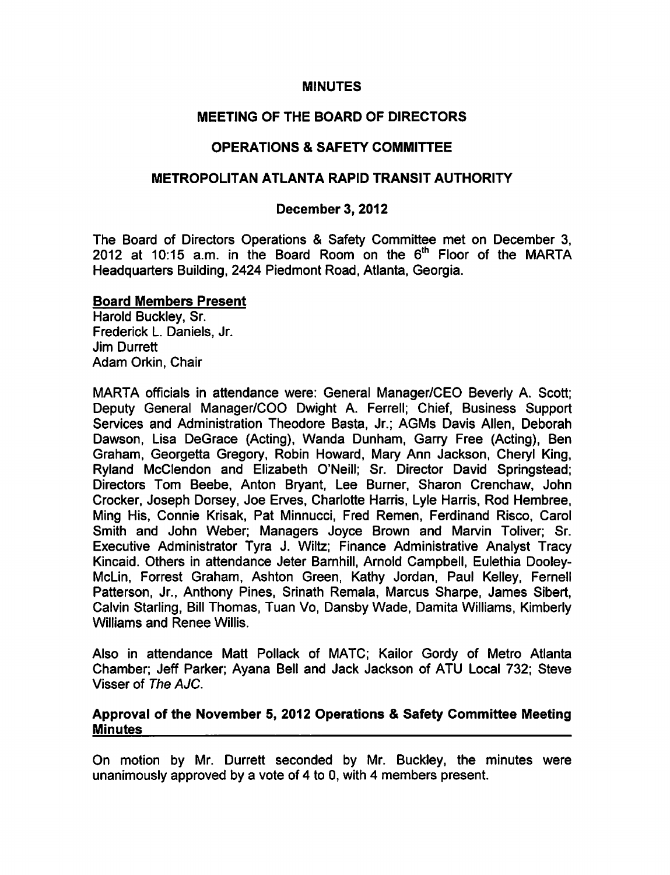## MINUTES

# MEETING OF THE BOARD OF DIRECTORS

# OPERATIONS & SAFETY COMMITTEE

# METROPOLITAN ATLANTA RAPID TRANSIT AUTHORITY

# December 3, 2012

The Board of Directors Operations & Safety Committee met on December 3, 2012 at 10:15 a.m. in the Board Room on the  $6<sup>th</sup>$  Floor of the MARTA Headquarters Building, 2424 Piedmont Road, Atlanta, Georgia.

### Board Members Present

Harold Buckley, Sr. Frederick L. Daniels, Jr. Jim Durrett Adam Orkin, Chair

MARTA officials in attendance were: General Manager/CEO Beverly A. Scott; Deputy General Manager/COO Dwight A. Ferrell; Chief, Business Support Services and Administration Theodore Basta, Jr.; AGMs Davis Allen, Deborah Dawson, Lisa DeGrace (Acting), Wanda Dunham, Garry Free (Acting), Ben Graham, Georgetta Gregory, Robin Howard, Mary Ann Jackson, Cheryl King, Ryland McClendon and Elizabeth O'Neill; Sr. Director David Springstead; Directors Tom Beebe, Anton Bryant, Lee Burner, Sharon Crenchaw, John Crocker, Joseph Dorsey, Joe Erves, Charlotte Harris, Lyle Harris, Rod Hembree, Ming His, Connie Krisak, Pat Minnucci, Fred Remen, Ferdinand Risco, Carol Smith and John Weber; Managers Joyce Brown and Marvin Toliver; Sr. Executive Administrator Tyra J. Wiltz; Finance Administrative Analyst Tracy Kincaid. Others in attendance Jeter Barnhill, Arnold Campbell, Eulethia Dooley-McLin, Forrest Graham, Ashton Green, Kathy Jordan, Paul Kelley, Fernell Patterson, Jr., Anthony Pines, Srinath Remala, Marcus Sharpe, James Sibert, Calvin Starling, Bill Thomas, Tuan Vo, Dansby Wade, Damita Williams, Kimberly Williams and Renee Willis.

Also in attendance Matt Pollack of MATC; Kailor Gordy of Metro Atlanta Chamber; Jeff Parker; Ayana Bell and Jack Jackson of ATU Local 732; Steve Visser of The AJC.

### Approval of the November 5, 2012 Operations & Safety Committee Meeting Minutes

On motion by Mr. Durrett seconded by Mr. Buckley, the minutes were unanimously approved by a vote of 4 to 0, with 4 members present.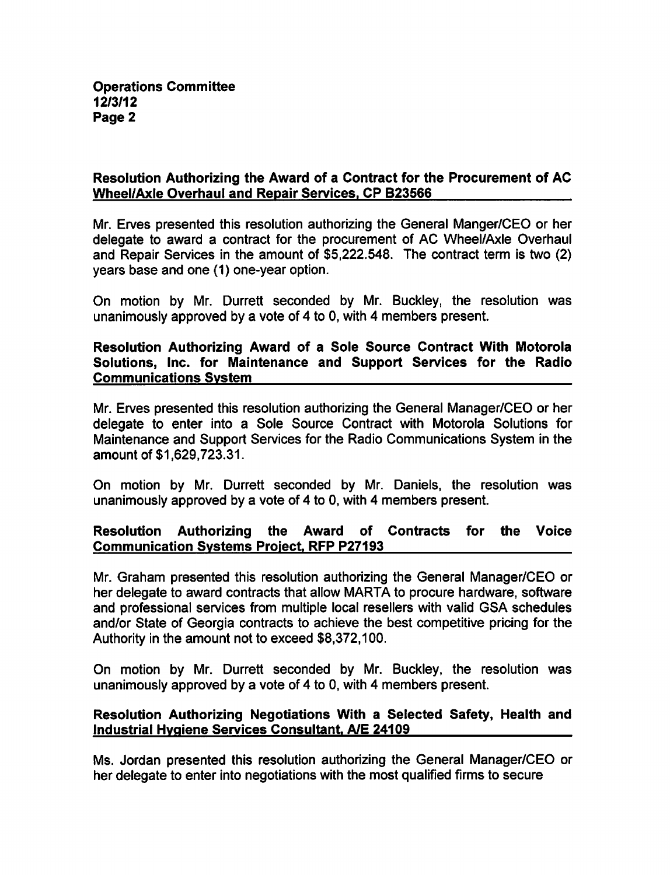## Resolution Authorizing the Award of a Contract for the Procurement of AC Wheel/Axle Overhaul and Repair Services. CP B23566

Mr. Erves presented this resolution authorizing the General Manger/CEO or her delegate to award a contract for the procurement of AC Wheel/Axle Overhaul and Repair Services in the amount of \$5,222,548. The contract term is two (2) years base and one (1) one-year option.

On motion by Mr. Durrett seconded by Mr. Buckley, the resolution was unanimously approved by a vote of 4 to 0, with 4 members present.

## Resolution Authorizing Award of a Sole Source Contract With Motorola Solutions, Inc. for Maintenance and Support Services for the Radio Communications System

Mr. Erves presented this resolution authorizing the General Manager/CEO or her delegate to enter into a Sole Source Contract with Motorola Solutions for Maintenance and Support Services for the Radio Communications System in the amount of \$1,629,723.31.

On motion by Mr. Durrett seconded by Mr. Daniels, the resolution was unanimously approved by a vote of 4 to 0, with 4 members present.

# Resolution Authorizing the Award of Contracts for the Voice Communication Systems Project. RFP P27193

Mr. Graham presented this resolution authorizing the General Manager/CEO or her delegate to award contracts that allow MARTA to procure hardware, software and professional services from multiple local resellers with valid GSA schedules and/or State of Georgia contracts to achieve the best competitive pricing for the Authority in the amount not to exceed \$8,372,100.

On motion by Mr. Durrett seconded by Mr. Buckley, the resolution was unanimously approved by a vote of 4 to 0, with 4 members present.

## Resolution Authorizing Negotiations With a Selected Safety, Health and Industrial Hygiene Services Consultant. A/E 24109

Ms. Jordan presented this resolution authorizing the General Manager/CEO or her delegate to enter into negotiations with the most qualified firms to secure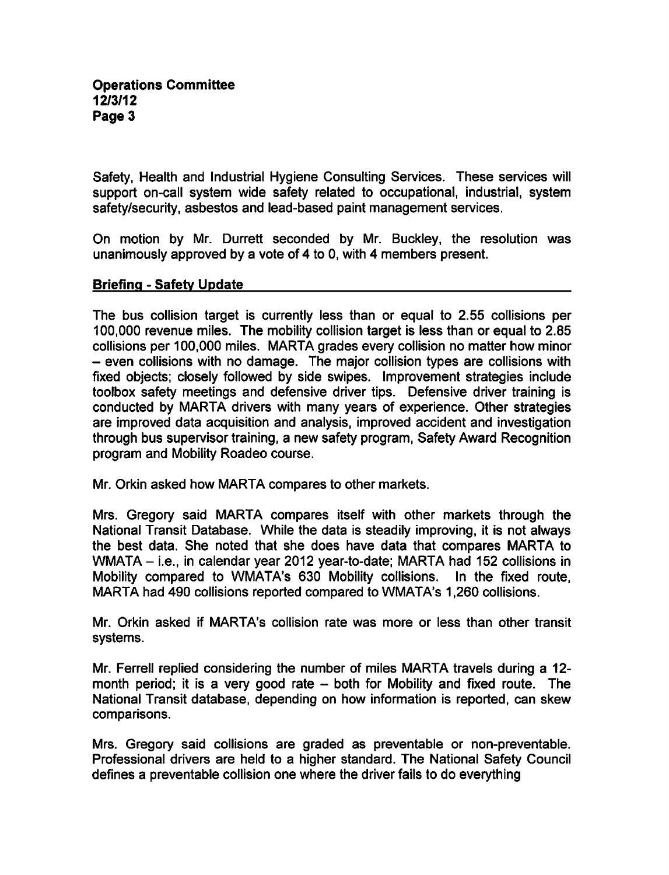Safety, Health and Industrial Hygiene Consulting Services. These services will support on-call system wide safety related to occupational, industrial, system safety/security, asbestos and lead-based paint management services.

On motion by Mr. Durrett seconded by Mr. Buckley, the resolution was unanimously approved by a vote of 4 to 0, with 4 members present.

### Briefing - Safety Update

The bus collision target is currently less than or equal to 2.55 collisions per 100,000 revenue miles. The mobility collision target is less than or equal to 2.85 collisions per 100,000 miles. MARTA grades every collision no matter how minor  $-$  even collisions with no damage. The major collision types are collisions with fixed objects; closely followed by side swipes. Improvement strategies include toolbox safety meetings and defensive driver tips. Defensive driver training is conducted by MARTA drivers with many years of experience. Other strategies are improved data acquisition and analysis, improved accident and investigation through bus supervisor training, a new safety program, Safety Award Recognition program and Mobility Roadeo course.

Mr. Orkin asked how MARTA compares to other markets.

Mrs. Gregory said MARTA compares itself with other markets through the National Transit Database. While the data is steadily improving, it is not always the best data. She noted that she does have data that compares MARTA to WMATA  $-$  i.e., in calendar year 2012 year-to-date; MARTA had 152 collisions in Mobility compared to WMATA's 630 Mobility collisions. In the fixed route, MARTA had 490 collisions reported compared to WMATA's 1,260 collisions.

Mr. Orkin asked if MARTA's collision rate was more or less than other transit systems.

Mr. Ferrell replied considering the number of miles MARTA travels during a 12month period; it is a very good rate  $-$  both for Mobility and fixed route. The National Transit database, depending on how information is reported, can skew comparisons.

Mrs. Gregory said collisions are graded as preventable or non-preventable. Professional drivers are held to a higher standard. The National Safety Council defines a preventable collision one where the driver fails to do everything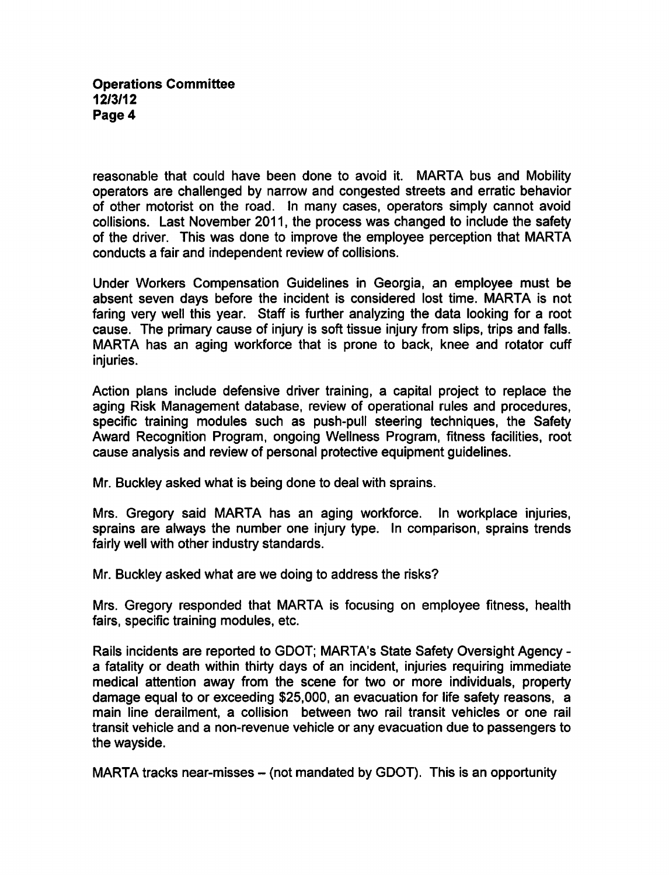## Operations Committee 12/3/12 Page 4

reasonable that could have been done to avoid it. MARTA bus and Mobility operators are challenged by narrow and congested streets and erratic behavior of other motorist on the road. In many cases, operators simply cannot avoid collisions. Last November 2011, the process was changed to include the safety of the driver. This was done to improve the employee perception that MARTA conducts a fair and independent review of collisions.

Under Workers Compensation Guidelines in Georgia, an employee must be absent seven days before the incident is considered lost time. MARTA is not faring very well this year. Staff is further analyzing the data looking for a root cause. The primary cause of injury is soft tissue injury from slips, trips and falls. MARTA has an aging workforce that is prone to back, knee and rotator cuff injuries.

Action plans include defensive driver training, a capital project to replace the aging Risk Management database, review of operational rules and procedures, specific training modules such as push-pull steering techniques, the Safety Award Recognition Program, ongoing Wellness Program, fitness facilities, root cause analysis and review of personal protective equipment guidelines.

Mr. Buckley asked what is being done to deal with sprains.

Mrs. Gregory said MARTA has an aging workforce. In workplace injuries, sprains are always the number one injury type. In comparison, sprains trends fairly well with other industry standards.

Mr. Buckley asked what are we doing to address the risks?

Mrs. Gregory responded that MARTA is focusing on employee fitness, health fairs, specific training modules, etc.

Rails incidents are reported to GDOT; MARTA's State Safety Oversight Agency a fatality or death within thirty days of an incident, injuries requiring immediate medical attention away from the scene for two or more individuals, property damage equal to or exceeding \$25,000, an evacuation for life safety reasons, main line derailment, a collision between two rail transit vehicles or one rail transit vehicle and non-revenue vehicle or any evacuation due to passengers to the wayside.

MARTA tracks near-misses  $-$  (not mandated by GDOT). This is an opportunity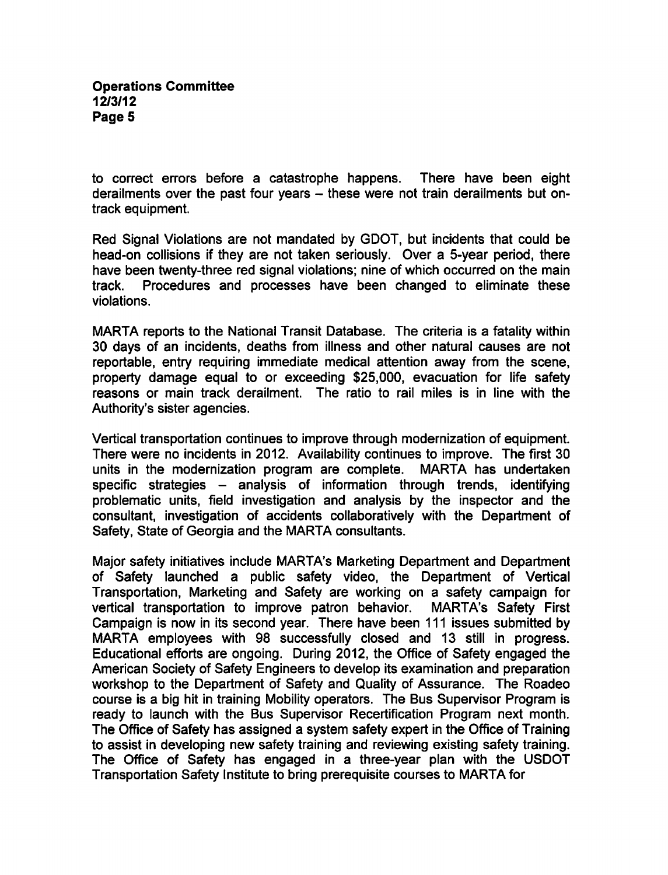to correct errors before a catastrophe happens. There have been eight derailments over the past four years  $-$  these were not train derailments but ontrack equipment.

Red Signal Violations are not mandated by GDOT, but incidents that could be head-on collisions if they are not taken seriously. Over a 5-year period, there have been twenty-three red signal violations; nine of which occurred on the main track. Procedures and processes have been changed to eliminate these violations.

MARTA reports to the National Transit Database. The criteria is a fatality within 30 days of an incidents, deaths from illness and other natural causes are not reportable, entry requiring immediate medical attention away from the scene, property damage equal to or exceeding \$25,000, evacuation for life safety reasons or main track derailment. The ratio to rail miles is in line with the Authority's sister agencies.

Vertical transportation continues to improve through modernization of equipment. There were no incidents in 2012. Availability continues to improve. The first 30 units in the modernization program are complete. MARTA has undertaken specific strategies  $-$  analysis of information through trends, identifying problematic units, field investigation and analysis by the inspector and the consultant, investigation of accidents collaboratively with the Department of Safety, State of Georgia and the MARTA consultants.

Major safety initiatives include MARTA's Marketing Department and Department of Safety launched a public safety video, the Department of Vertical Transportation, Marketing and Safety are working on a safety campaign for vertical transportation to improve patron behavior. MARTA's Safety First Campaign is now in its second year. There have been 111 issues submitted by MARTA employees with 98 successfully closed and 13 still in progress. Educational efforts are ongoing. During 2012, the Office of Safety engaged the American Society of Safety Engineers to develop its examination and preparation workshop to the Department of Safety and Quality of Assurance. The Roadeo course is a big hit in training Mobility operators. The Bus Supervisor Program is ready to launch with the Bus Supervisor Recertification Program next month. The Office of Safety has assigned a system safety expert in the Office of Training to assist in developing new safety training and reviewing existing safety training. The Office of Safety has engaged in a three-year plan with the USDOT Transportation Safety Institute to bring prerequisite courses to MARTA for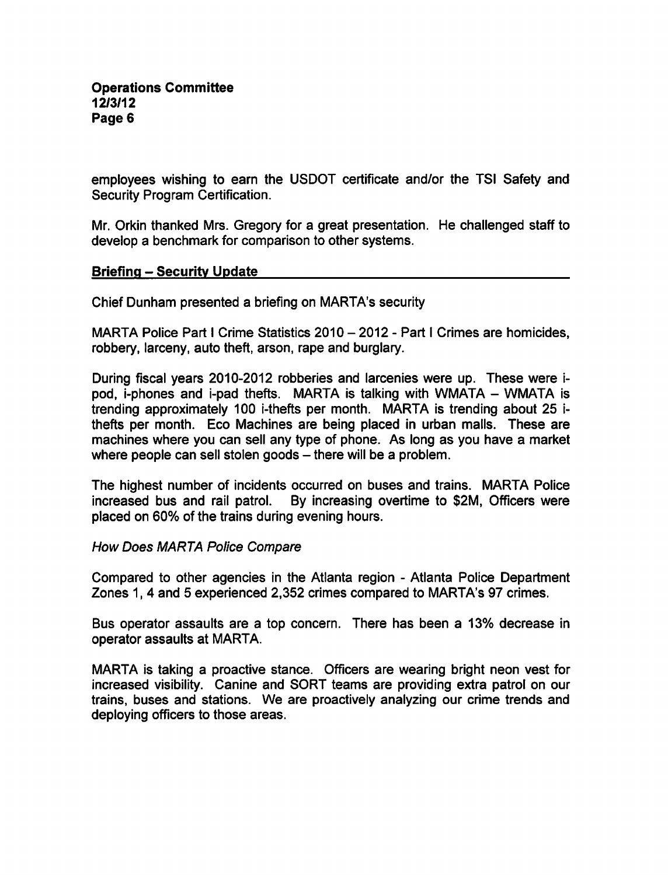employees wishing to earn the USDOT certificate and/or the TSI Safety and Security Program Certification.

Mr. Orkin thanked Mrs. Gregory for a great presentation. He challenged staff to develop a benchmark for comparison to other systems.

### Briefing - Security Update

Chief Dunham presented a briefing on MARTA's security

MARTA Police Part I Crime Statistics  $2010 - 2012$  - Part I Crimes are homicides, robbery, larceny, auto theft, arson, rape and burglary.

During fiscal years 2010-2012 robberies and larcenies were up. These were ipod, i-phones and i-pad thefts. MARTA is talking with WMATA - WMATA is trending approximately 100 i-thefts per month. MARTA is trending about 25 ithefts per month. Eco Machines are being placed in urban malls. These are machines where you can sell any type of phone. As long as you have a market where people can sell stolen goods  $-$  there will be a problem.

The highest number of incidents occurred on buses and trains. MARTA Police increased bus and rail patrol. By increasing overtime to \$2M, Officers were placed on 60% of the trains during evening hours.

#### How Does MARTA Police Compare

Compared to other agencies in the Atlanta region - Atlanta Police Department Zones 1, 4 and 5 experienced 2,352 crimes compared to MARTA's 97 crimes.

Bus operator assaults are a top concern. There has been a 13% decrease in operator assaults at MARTA.

MARTA is taking a proactive stance. Officers are wearing bright neon vest for increased visibility. Canine and SORT teams are providing extra patrol on our trains, buses and stations. We are proactively analyzing our crime trends and deploying officers to those areas.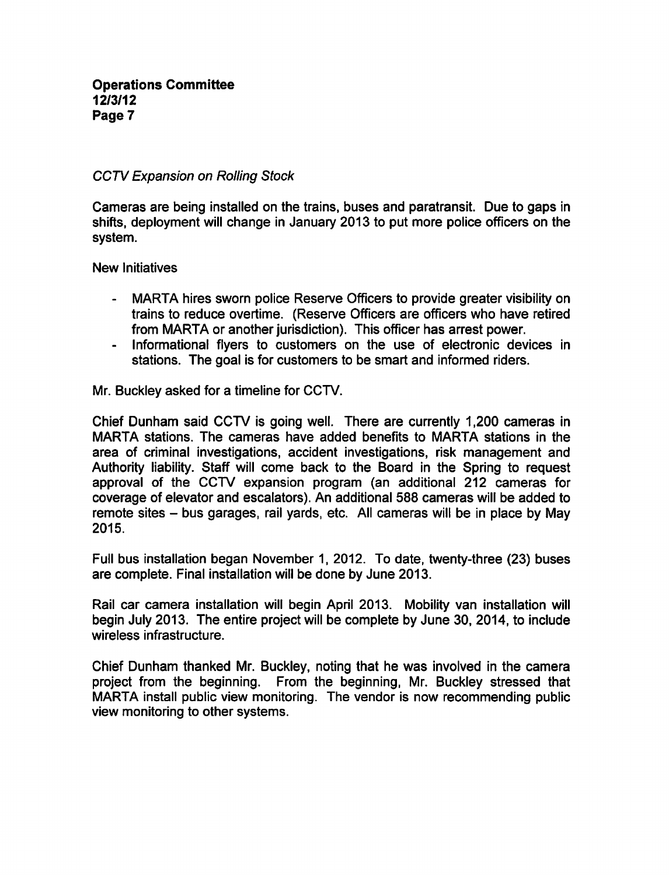# CCTV Expansion on Rolling Stock

Cameras are being installed on the trains, buses and paratransit. Due to gaps in shifts, deployment will change in January 2013 to put more police officers on the system.

New Initiatives

- MARTA hires sworn police Reserve Officers to provide greater visibility on  $\blacksquare$ trains to reduce overtime. (Reserve Officers are officers who have retired from MARTA or another jurisdiction). This officer has arrest power.
- Informational flyers to customers on the use of electronic devices in stations. The goal is for customers to be smart and informed riders.

Mr. Buckley asked for a timeline for CCTV.

Chief Dunham said CCTV is going well. There are currently 1,200 cameras in MARTA stations. The cameras have added benefits to MARTA stations in the area of criminal investigations, accident investigations, risk management and Authority liability. Staff will come back to the Board in the Spring to request approval of the CCTV expansion program (an additional 212 cameras for coverage of elevator and escalators). An additional 588 cameras will be added to remote sites – bus garages, rail yards, etc. All cameras will be in place by May 2015.

Full bus installation began November 1, 2012. To date, twenty-three (23) buses are complete. Final installation will be done by June 2013.

Rail car camera installation will begin April 2013. Mobility van installation will begin July 2013. The entire project will be complete by June 30, 2014, to include wireless infrastructure.

Chief Dunham thanked Mr. Buckley, noting that he was involved in the camera project from the beginning. From the beginning, Mr. Buckley stressed that MARTA install public view monitoring. The vendor is now recommending public view monitoring to other systems.